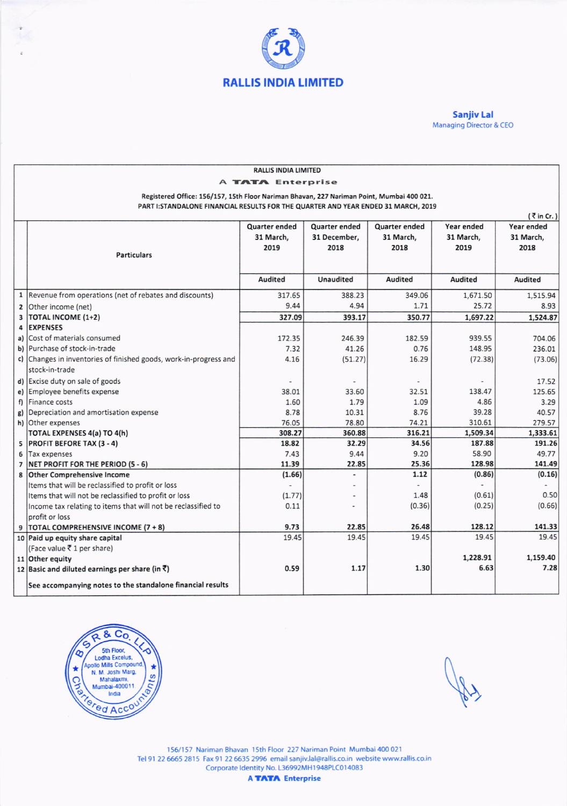

**Sanjiv Lal** Managing Director & CEO

| <b>RALLIS INDIA LIMITED</b>                                                               |                                                                   |                |                          |                      |                  |                   |  |  |
|-------------------------------------------------------------------------------------------|-------------------------------------------------------------------|----------------|--------------------------|----------------------|------------------|-------------------|--|--|
| A <b>TATA</b> Enterprise                                                                  |                                                                   |                |                          |                      |                  |                   |  |  |
| Registered Office: 156/157, 15th Floor Nariman Bhavan, 227 Nariman Point, Mumbai 400 021. |                                                                   |                |                          |                      |                  |                   |  |  |
| PART I: STANDALONE FINANCIAL RESULTS FOR THE QUARTER AND YEAR ENDED 31 MARCH, 2019        |                                                                   |                |                          |                      |                  |                   |  |  |
| $\bar{\tau}$ in Cr. )                                                                     |                                                                   |                |                          |                      |                  |                   |  |  |
|                                                                                           |                                                                   | Quarter ended  | Quarter ended            | <b>Quarter ended</b> | Year ended       | <b>Year ended</b> |  |  |
|                                                                                           |                                                                   | 31 March,      | 31 December,             | 31 March,            | 31 March,        | 31 March,         |  |  |
|                                                                                           |                                                                   | 2019           | 2018                     | 2018                 | 2019             | 2018              |  |  |
|                                                                                           | <b>Particulars</b>                                                |                |                          |                      |                  |                   |  |  |
|                                                                                           |                                                                   |                |                          |                      |                  |                   |  |  |
|                                                                                           |                                                                   | <b>Audited</b> | Unaudited                | <b>Audited</b>       | Audited          | Audited           |  |  |
|                                                                                           | 1   Revenue from operations (net of rebates and discounts)        | 317.65         | 388.23                   | 349.06               | 1,671.50         | 1,515.94          |  |  |
|                                                                                           | 2 Other income (net)                                              | 9.44           | 4.94                     | 1.71                 | 25.72            | 8.93              |  |  |
| 3                                                                                         | <b>TOTAL INCOME (1+2)</b>                                         | 327.09         | 393.17                   | 350.77               | 1,697.22         | 1,524.87          |  |  |
| 4                                                                                         | <b>EXPENSES</b>                                                   |                |                          |                      |                  |                   |  |  |
| a)                                                                                        | Cost of materials consumed                                        | 172.35         | 246.39                   | 182.59               | 939.55           | 704.06            |  |  |
|                                                                                           | b) Purchase of stock-in-trade                                     | 7.32           | 41.26                    | 0.76                 | 148.95           | 236.01            |  |  |
|                                                                                           | c) Changes in inventories of finished goods, work-in-progress and | 4.16           | (51.27)                  | 16.29                | (72.38)          | (73.06)           |  |  |
|                                                                                           | stock-in-trade                                                    |                |                          |                      |                  |                   |  |  |
|                                                                                           | d) Excise duty on sale of goods                                   |                |                          |                      |                  | 17.52             |  |  |
|                                                                                           | e) Employee benefits expense                                      | 38.01          | 33.60                    | 32.51                | 138.47           | 125.65            |  |  |
| f                                                                                         | Finance costs                                                     | 1.60           | 1.79                     | 1.09                 | 4.86             | 3.29              |  |  |
| g)                                                                                        | Depreciation and amortisation expense                             | 8.78           | 10.31                    | 8.76                 | 39.28            | 40.57             |  |  |
|                                                                                           | h) Other expenses                                                 | 76.05          | 78.80                    | 74.21                | 310.61           | 279.57            |  |  |
|                                                                                           | TOTAL EXPENSES 4(a) TO 4(h)                                       | 308.27         | 360.88                   | 316.21               | 1,509.34         | 1,333.61          |  |  |
| 5                                                                                         | <b>PROFIT BEFORE TAX (3 - 4)</b>                                  | 18.82          | 32.29                    | 34.56                | 187.88           | 191.26            |  |  |
| 6                                                                                         | Tax expenses                                                      | 7.43           | 9.44                     | 9.20                 | 58.90            | 49.77             |  |  |
| $\overline{7}$                                                                            | NET PROFIT FOR THE PERIOD (5 - 6)                                 | 11.39          | 22.85                    | 25.36                | 128.98           | 141.49            |  |  |
|                                                                                           | 8 Other Comprehensive Income                                      | (1.66)         | $\overline{\phantom{a}}$ | 1.12                 | (0.86)           | (0.16)            |  |  |
|                                                                                           | Items that will be reclassified to profit or loss                 |                |                          |                      |                  |                   |  |  |
|                                                                                           | Items that will not be reclassified to profit or loss             | (1.77)         |                          | 1.48                 | (0.61)           | 0.50              |  |  |
|                                                                                           | Income tax relating to items that will not be reclassified to     | 0.11           |                          | (0.36)               | (0.25)           | (0.66)            |  |  |
|                                                                                           | profit or loss                                                    |                |                          |                      |                  |                   |  |  |
|                                                                                           | 9   TOTAL COMPREHENSIVE INCOME (7 + 8)                            | 9.73           | 22.85                    | 26.48                | 128.12           | 141.33            |  |  |
|                                                                                           | 10 Paid up equity share capital                                   | 19.45          | 19.45                    | 19.45                | 19.45            | 19.45             |  |  |
|                                                                                           | (Face value ₹ 1 per share)                                        |                |                          |                      |                  | 1,159.40          |  |  |
|                                                                                           | 11 Other equity                                                   |                |                          | 1.30                 | 1,228.91<br>6.63 | 7.28              |  |  |
|                                                                                           | 12 Basic and diluted earnings per share (in $\bar{z}$ )           | 0.59           | 1.17                     |                      |                  |                   |  |  |
|                                                                                           | See accompanying notes to the standalone financial results        |                |                          |                      |                  |                   |  |  |



Joy

156/157 Nariman Bhavan 15th Floor 227 Nariman Point Mumbai 400 021 Tel 91 22 6665 2815 Fax 91 22 6635 2996 email sanjiv.lal@rallis.co.in website www.rallis.co.in<br>Corporate Identity No. L36992MH1948PLC014083

**A TATA** Enterprise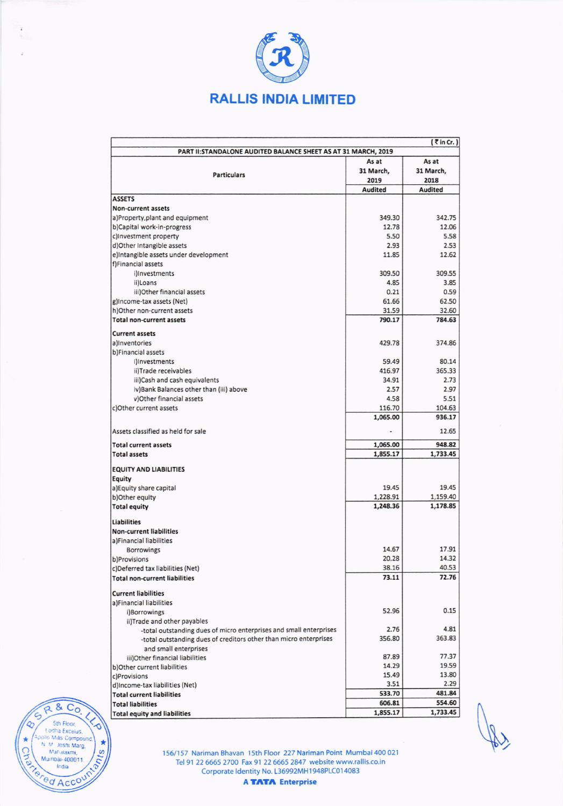

÷

 $R$  & Co.

For Fioor,<br>Lodha Exceius,<br>Dollo Mills Compound<br>N. Mahalaxmi,<br>Mumbai-400011,<br>India

red Accou

G

٥

cho

itra

 $\pmb{\star}$ **PIUE** 

|                                                                    |           | $(7 \text{ in Cr.})$ |  |  |  |  |
|--------------------------------------------------------------------|-----------|----------------------|--|--|--|--|
| PART II: STANDALONE AUDITED BALANCE SHEET AS AT 31 MARCH, 2019     |           |                      |  |  |  |  |
| As at<br>As at                                                     |           |                      |  |  |  |  |
| <b>Particulars</b>                                                 | 31 March, | 31 March,            |  |  |  |  |
|                                                                    | 2019      | 2018                 |  |  |  |  |
|                                                                    | Audited   | <b>Audited</b>       |  |  |  |  |
| <b>ASSETS</b>                                                      |           |                      |  |  |  |  |
| Non-current assets                                                 |           |                      |  |  |  |  |
| a)Property, plant and equipment                                    | 349.30    | 342.75               |  |  |  |  |
| b)Capital work-in-progress                                         | 12.78     | 12.06                |  |  |  |  |
| c)Investment property                                              | 5.50      | 5.58                 |  |  |  |  |
| d)Other Intangible assets                                          | 2.93      | 2.53                 |  |  |  |  |
| e)Intangible assets under development                              | 11.85     | 12.62                |  |  |  |  |
| f)Financial assets                                                 |           |                      |  |  |  |  |
| illnvestments                                                      | 309.50    | 309.55               |  |  |  |  |
| ii)Loans                                                           | 4.85      | 3.85                 |  |  |  |  |
| iii)Other financial assets                                         | 0.21      | 0.59                 |  |  |  |  |
| g)Income-tax assets (Net)                                          | 61.66     | 62.50                |  |  |  |  |
| h)Other non-current assets                                         | 31.59     | 32.60                |  |  |  |  |
| <b>Total non-current assets</b>                                    | 790.17    | 784.63               |  |  |  |  |
| <b>Current assets</b>                                              |           |                      |  |  |  |  |
| a)Inventories                                                      | 429.78    | 374.86               |  |  |  |  |
| b)Financial assets                                                 |           |                      |  |  |  |  |
| i)Investments                                                      | 59.49     | 80.14                |  |  |  |  |
| ii)Trade receivables                                               | 416.97    | 365.33               |  |  |  |  |
| iii)Cash and cash equivalents                                      | 34.91     | 2.73                 |  |  |  |  |
| iv)Bank Balances other than (iii) above                            | 2.57      | 2.97                 |  |  |  |  |
| v)Other financial assets                                           | 4.58      | 5.51                 |  |  |  |  |
| c)Other current assets                                             | 116.70    | 104.63               |  |  |  |  |
|                                                                    | 1,065.00  | 936.17               |  |  |  |  |
| Assets classified as held for sale                                 |           | 12.65                |  |  |  |  |
| <b>Total current assets</b>                                        | 1,065.00  | 948.82               |  |  |  |  |
| <b>Total assets</b>                                                | 1,855.17  | 1,733.45             |  |  |  |  |
|                                                                    |           |                      |  |  |  |  |
| <b>EQUITY AND LIABILITIES</b>                                      |           |                      |  |  |  |  |
| Equity                                                             | 19.45     | 19.45                |  |  |  |  |
| a) Equity share capital<br>b) Other equity                         | 1,228.91  | 1,159.40             |  |  |  |  |
| <b>Total equity</b>                                                | 1,248.36  | 1,178.85             |  |  |  |  |
|                                                                    |           |                      |  |  |  |  |
| Liabilities                                                        |           |                      |  |  |  |  |
| <b>Non-current liabilities</b>                                     |           |                      |  |  |  |  |
| a)Financial liabilities                                            | 14.67     | 17.91                |  |  |  |  |
| <b>Borrowings</b>                                                  | 20.28     | 14.32                |  |  |  |  |
| b)Provisions<br>c)Deferred tax liabilities (Net)                   | 38.16     | 40.53                |  |  |  |  |
| <b>Total non-current liabilities</b>                               | 73.11     | 72.76                |  |  |  |  |
| <b>Current liabilities</b>                                         |           |                      |  |  |  |  |
| a)Financial liabilities                                            |           |                      |  |  |  |  |
| i)Borrowings                                                       | 52.96     | 0.15                 |  |  |  |  |
| ii)Trade and other payables                                        |           |                      |  |  |  |  |
| -total outstanding dues of micro enterprises and small enterprises | 2.76      | 4.81                 |  |  |  |  |
| -total outstanding dues of creditors other than micro enterprises  | 356.80    | 363.83               |  |  |  |  |
| and small enterprises                                              |           |                      |  |  |  |  |
| iii)Other financial liabilities                                    | 87.89     | 77.37                |  |  |  |  |
| b) Other current liabilities                                       | 14.29     | 19.59                |  |  |  |  |
| c)Provisions                                                       | 15.49     | 13.80                |  |  |  |  |
| d)Income-tax liabilities (Net)                                     | 3.51      | 2.29                 |  |  |  |  |
| <b>Total current liabilities</b>                                   | 533.70    | 481.84               |  |  |  |  |
| <b>Total liabilities</b>                                           | 606.81    | 554.60               |  |  |  |  |
| <b>Total equity and liabilities</b>                                | 1,855.17  | 1,733.45             |  |  |  |  |

 $\sqrt{2}$ 

156/157 Nariman Bhavan 15th Floor 227 Nariman Point Mumbai 400 021 Tel 91 22 6665 2700 Fax 91 22 6665 2847 website www.rallis.co.in<br>Corporate Identity No. L36992MH1948PLC014083

**A TATA** Enterprise